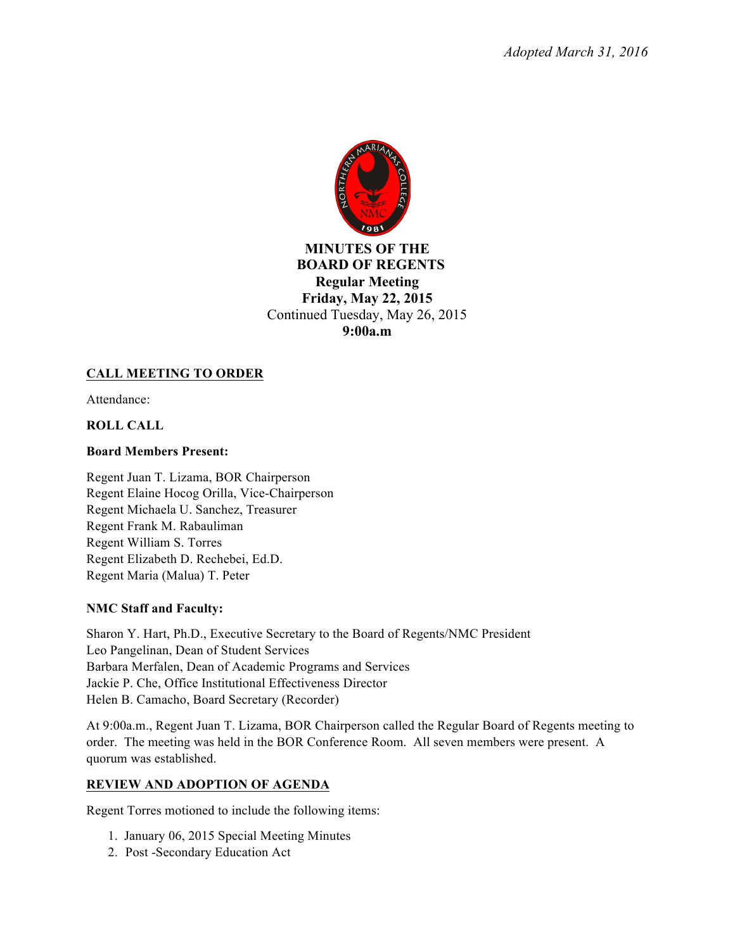

# **MINUTES OF THE BOARD OF REGENTS Regular Meeting Friday, May 22, 2015** Continued Tuesday, May 26, 2015 **9:00a.m**

# **CALL MEETING TO ORDER**

Attendance:

# **ROLL CALL**

# **Board Members Present:**

Regent Juan T. Lizama, BOR Chairperson Regent Elaine Hocog Orilla, Vice-Chairperson Regent Michaela U. Sanchez, Treasurer Regent Frank M. Rabauliman Regent William S. Torres Regent Elizabeth D. Rechebei, Ed.D. Regent Maria (Malua) T. Peter

# **NMC Staff and Faculty:**

Sharon Y. Hart, Ph.D., Executive Secretary to the Board of Regents/NMC President Leo Pangelinan, Dean of Student Services Barbara Merfalen, Dean of Academic Programs and Services Jackie P. Che, Office Institutional Effectiveness Director Helen B. Camacho, Board Secretary (Recorder)

At 9:00a.m., Regent Juan T. Lizama, BOR Chairperson called the Regular Board of Regents meeting to order. The meeting was held in the BOR Conference Room. All seven members were present. A quorum was established.

# **REVIEW AND ADOPTION OF AGENDA**

Regent Torres motioned to include the following items:

- 1. January 06, 2015 Special Meeting Minutes
- 2. Post -Secondary Education Act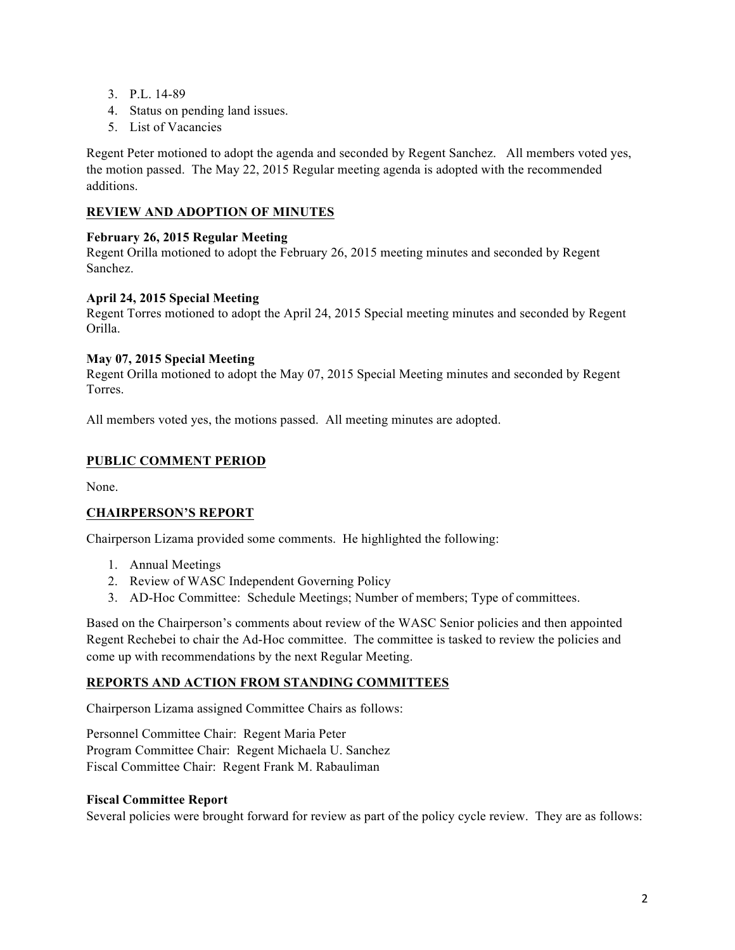- 3. P.L. 14-89
- 4. Status on pending land issues.
- 5. List of Vacancies

Regent Peter motioned to adopt the agenda and seconded by Regent Sanchez. All members voted yes, the motion passed. The May 22, 2015 Regular meeting agenda is adopted with the recommended additions.

# **REVIEW AND ADOPTION OF MINUTES**

## **February 26, 2015 Regular Meeting**

Regent Orilla motioned to adopt the February 26, 2015 meeting minutes and seconded by Regent Sanchez.

## **April 24, 2015 Special Meeting**

Regent Torres motioned to adopt the April 24, 2015 Special meeting minutes and seconded by Regent Orilla.

## **May 07, 2015 Special Meeting**

Regent Orilla motioned to adopt the May 07, 2015 Special Meeting minutes and seconded by Regent Torres.

All members voted yes, the motions passed. All meeting minutes are adopted.

# **PUBLIC COMMENT PERIOD**

None.

# **CHAIRPERSON'S REPORT**

Chairperson Lizama provided some comments. He highlighted the following:

- 1. Annual Meetings
- 2. Review of WASC Independent Governing Policy
- 3. AD-Hoc Committee: Schedule Meetings; Number of members; Type of committees.

Based on the Chairperson's comments about review of the WASC Senior policies and then appointed Regent Rechebei to chair the Ad-Hoc committee. The committee is tasked to review the policies and come up with recommendations by the next Regular Meeting.

### **REPORTS AND ACTION FROM STANDING COMMITTEES**

Chairperson Lizama assigned Committee Chairs as follows:

Personnel Committee Chair: Regent Maria Peter Program Committee Chair: Regent Michaela U. Sanchez Fiscal Committee Chair: Regent Frank M. Rabauliman

### **Fiscal Committee Report**

Several policies were brought forward for review as part of the policy cycle review. They are as follows: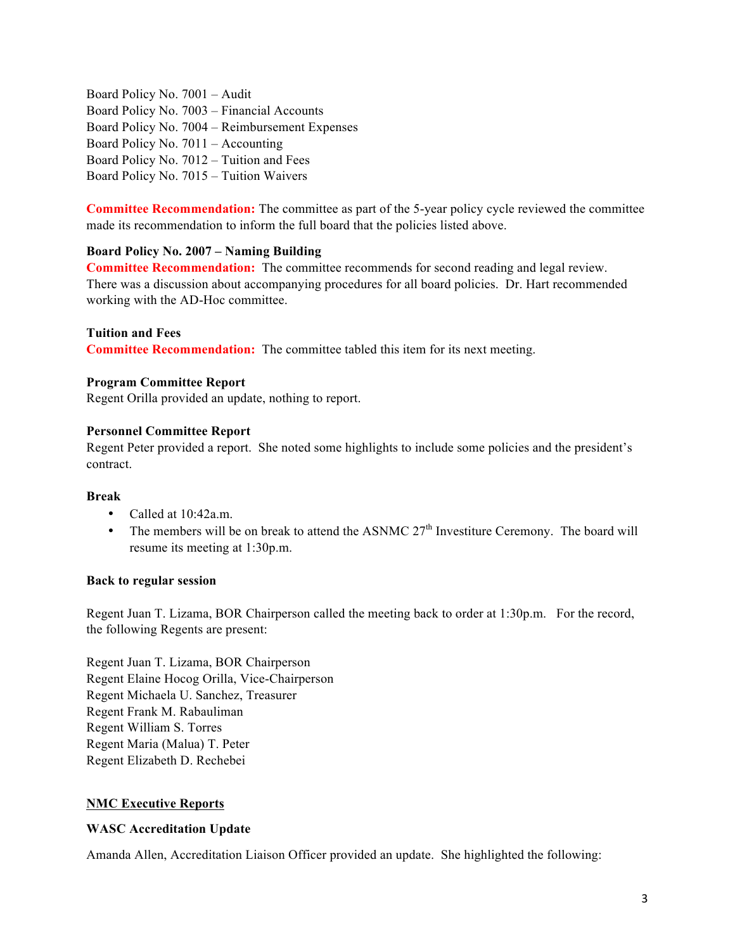Board Policy No. 7001 – Audit Board Policy No. 7003 – Financial Accounts Board Policy No. 7004 – Reimbursement Expenses Board Policy No. 7011 – Accounting Board Policy No. 7012 – Tuition and Fees Board Policy No. 7015 – Tuition Waivers

**Committee Recommendation:** The committee as part of the 5-year policy cycle reviewed the committee made its recommendation to inform the full board that the policies listed above.

## **Board Policy No. 2007 – Naming Building**

**Committee Recommendation:** The committee recommends for second reading and legal review. There was a discussion about accompanying procedures for all board policies. Dr. Hart recommended working with the AD-Hoc committee.

**Tuition and Fees**

**Committee Recommendation:** The committee tabled this item for its next meeting.

## **Program Committee Report**

Regent Orilla provided an update, nothing to report.

## **Personnel Committee Report**

Regent Peter provided a report. She noted some highlights to include some policies and the president's contract.

### **Break**

- Called at 10:42a.m.
- The members will be on break to attend the ASNMC  $27<sup>th</sup>$  Investiture Ceremony. The board will resume its meeting at 1:30p.m.

### **Back to regular session**

Regent Juan T. Lizama, BOR Chairperson called the meeting back to order at 1:30p.m. For the record, the following Regents are present:

Regent Juan T. Lizama, BOR Chairperson Regent Elaine Hocog Orilla, Vice-Chairperson Regent Michaela U. Sanchez, Treasurer Regent Frank M. Rabauliman Regent William S. Torres Regent Maria (Malua) T. Peter Regent Elizabeth D. Rechebei

# **NMC Executive Reports**

### **WASC Accreditation Update**

Amanda Allen, Accreditation Liaison Officer provided an update. She highlighted the following: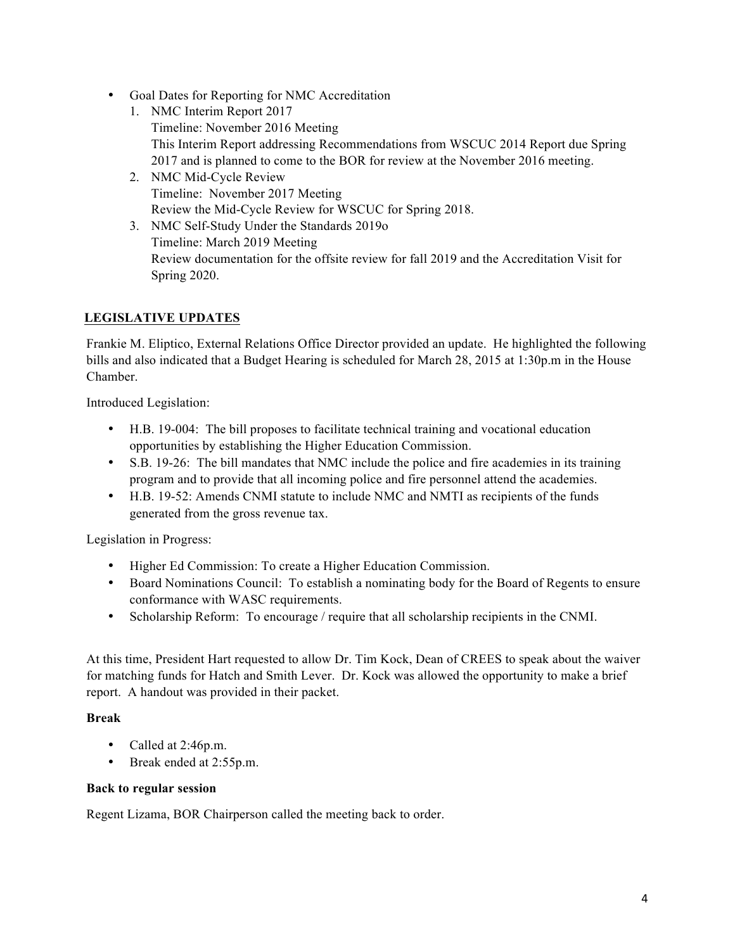- Goal Dates for Reporting for NMC Accreditation
	- 1. NMC Interim Report 2017 Timeline: November 2016 Meeting This Interim Report addressing Recommendations from WSCUC 2014 Report due Spring 2017 and is planned to come to the BOR for review at the November 2016 meeting.
	- 2. NMC Mid-Cycle Review Timeline: November 2017 Meeting Review the Mid-Cycle Review for WSCUC for Spring 2018.
	- 3. NMC Self-Study Under the Standards 2019o Timeline: March 2019 Meeting Review documentation for the offsite review for fall 2019 and the Accreditation Visit for Spring 2020.

# **LEGISLATIVE UPDATES**

Frankie M. Eliptico, External Relations Office Director provided an update. He highlighted the following bills and also indicated that a Budget Hearing is scheduled for March 28, 2015 at 1:30p.m in the House Chamber.

Introduced Legislation:

- H.B. 19-004: The bill proposes to facilitate technical training and vocational education opportunities by establishing the Higher Education Commission.
- S.B. 19-26: The bill mandates that NMC include the police and fire academies in its training program and to provide that all incoming police and fire personnel attend the academies.
- H.B. 19-52: Amends CNMI statute to include NMC and NMTI as recipients of the funds generated from the gross revenue tax.

Legislation in Progress:

- Higher Ed Commission: To create a Higher Education Commission.
- Board Nominations Council: To establish a nominating body for the Board of Regents to ensure conformance with WASC requirements.
- Scholarship Reform: To encourage / require that all scholarship recipients in the CNMI.

At this time, President Hart requested to allow Dr. Tim Kock, Dean of CREES to speak about the waiver for matching funds for Hatch and Smith Lever. Dr. Kock was allowed the opportunity to make a brief report. A handout was provided in their packet.

### **Break**

- Called at 2:46p.m.
- Break ended at 2:55p.m.

### **Back to regular session**

Regent Lizama, BOR Chairperson called the meeting back to order.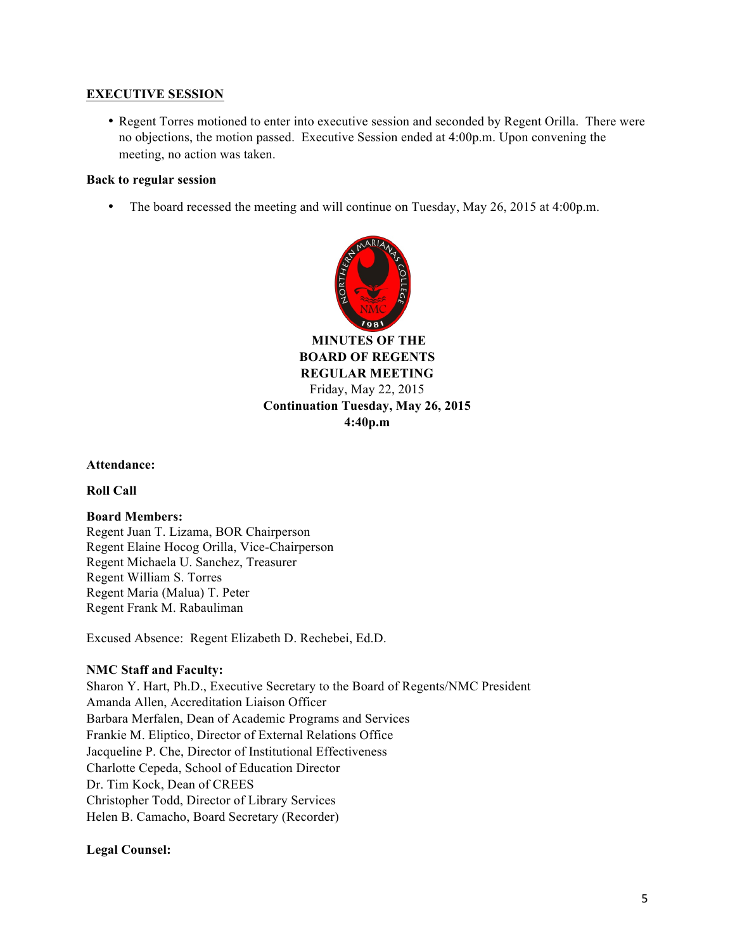## **EXECUTIVE SESSION**

• Regent Torres motioned to enter into executive session and seconded by Regent Orilla. There were no objections, the motion passed. Executive Session ended at 4:00p.m. Upon convening the meeting, no action was taken.

#### **Back to regular session**

• The board recessed the meeting and will continue on Tuesday, May 26, 2015 at 4:00p.m.



**MINUTES OF THE BOARD OF REGENTS REGULAR MEETING** Friday, May 22, 2015 **Continuation Tuesday, May 26, 2015 4:40p.m**

**Attendance:**

**Roll Call**

### **Board Members:**

Regent Juan T. Lizama, BOR Chairperson Regent Elaine Hocog Orilla, Vice-Chairperson Regent Michaela U. Sanchez, Treasurer Regent William S. Torres Regent Maria (Malua) T. Peter Regent Frank M. Rabauliman

Excused Absence: Regent Elizabeth D. Rechebei, Ed.D.

### **NMC Staff and Faculty:**

Sharon Y. Hart, Ph.D., Executive Secretary to the Board of Regents/NMC President Amanda Allen, Accreditation Liaison Officer Barbara Merfalen, Dean of Academic Programs and Services Frankie M. Eliptico, Director of External Relations Office Jacqueline P. Che, Director of Institutional Effectiveness Charlotte Cepeda, School of Education Director Dr. Tim Kock, Dean of CREES Christopher Todd, Director of Library Services Helen B. Camacho, Board Secretary (Recorder)

### **Legal Counsel:**